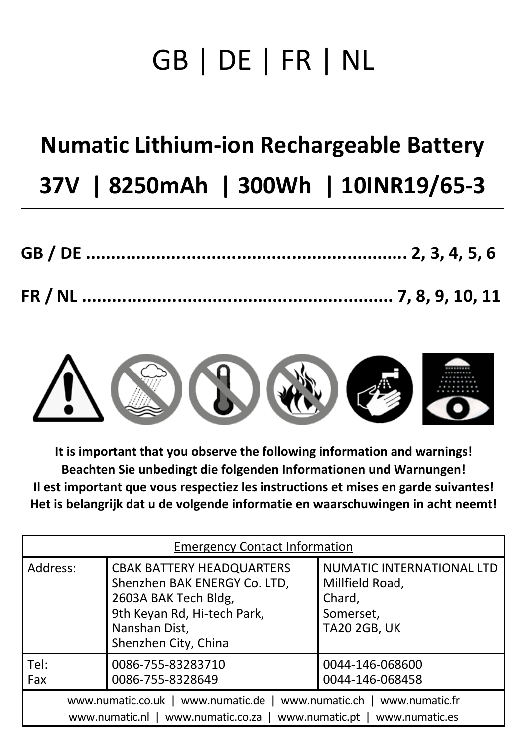# GB | DE | FR | NL

## **Numatic Lithium-ion Rechargeable Battery 37V | 8250mAh | 300Wh | 10INR19/65-3**



**It is important that you observe the following information and warnings! Beachten Sie unbedingt die folgenden Informationen und Warnungen! Il est important que vous respectiez les instructions et mises en garde suivantes! Het is belangrijk dat u de volgende informatie en waarschuwingen in acht neemt!**

| <b>Emergency Contact Information</b>                                                                                                         |                                                                                                                                                                  |                                                                                            |
|----------------------------------------------------------------------------------------------------------------------------------------------|------------------------------------------------------------------------------------------------------------------------------------------------------------------|--------------------------------------------------------------------------------------------|
| Address:                                                                                                                                     | <b>CBAK BATTERY HEADQUARTERS</b><br>Shenzhen BAK ENERGY Co. LTD,<br>2603A BAK Tech Bldg,<br>9th Keyan Rd, Hi-tech Park,<br>Nanshan Dist,<br>Shenzhen City, China | NUMATIC INTERNATIONAL LTD<br>Millfield Road,<br>Chard,<br>Somerset,<br><b>TA20 2GB, UK</b> |
| Tel:<br>Fax                                                                                                                                  | 0086-755-83283710<br>0086-755-8328649                                                                                                                            | 0044-146-068600<br>0044-146-068458                                                         |
| www.numatic.co.uk   www.numatic.de   www.numatic.ch   www.numatic.fr<br>www.numatic.nl   www.numatic.co.za   www.numatic.pt   www.numatic.es |                                                                                                                                                                  |                                                                                            |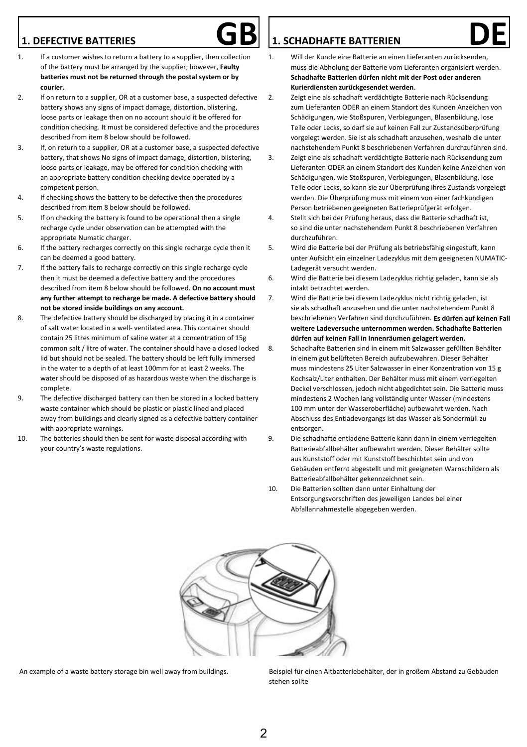### **1. DEFECTIVE BATTERIES**



- 1. If a customer wishes to return a battery to a supplier, then collection of the battery must be arranged by the supplier; however, **Faulty batteries must not be returned through the postal system or by courier.**
- 2. If on return to a supplier, OR at a customer base, a suspected defective battery shows any signs of impact damage, distortion, blistering, loose parts or leakage then on no account should it be offered for condition checking. It must be considered defective and the procedures described from item 8 below should be followed.
- 3. If, on return to a supplier, OR at a customer base, a suspected defective battery, that shows No signs of impact damage, distortion, blistering, loose parts or leakage, may be offered for condition checking with an appropriate battery condition checking device operated by a competent person.
- 4. If checking shows the battery to be defective then the procedures described from item 8 below should be followed.
- 5. If on checking the battery is found to be operational then a single recharge cycle under observation can be attempted with the appropriate Numatic charger.
- 6. If the battery recharges correctly on this single recharge cycle then it can be deemed a good battery.
- 7. If the battery fails to recharge correctly on this single recharge cycle then it must be deemed a defective battery and the procedures described from item 8 below should be followed. **On no account must any further attempt to recharge be made. A defective battery should not be stored inside buildings on any account.**
- 8. The defective battery should be discharged by placing it in a container of salt water located in a well- ventilated area. This container should contain 25 litres minimum of saline water at a concentration of 15g common salt / litre of water. The container should have a closed locked lid but should not be sealed. The battery should be left fully immersed in the water to a depth of at least 100mm for at least 2 weeks. The water should be disposed of as hazardous waste when the discharge is complete.
- 9. The defective discharged battery can then be stored in a locked battery waste container which should be plastic or plastic lined and placed away from buildings and clearly signed as a defective battery container with appropriate warnings.
- 10. The batteries should then be sent for waste disposal according with your country's waste regulations.

## **L. SCHADHAFTE BATTERIEN**<br>1. Will der Kunde eine Batterie an einen Lieferanten zurücksenden,

- muss die Abholung der Batterie vom Lieferanten organisiert werden. **Schadhafte Batterien dürfen nicht mit der Post oder anderen Kurierdiensten zurückgesendet werden**.
- 2. Zeigt eine als schadhaft verdächtigte Batterie nach Rücksendung zum Lieferanten ODER an einem Standort des Kunden Anzeichen von Schädigungen, wie Stoßspuren, Verbiegungen, Blasenbildung, lose Teile oder Lecks, so darf sie auf keinen Fall zur Zustandsüberprüfung vorgelegt werden. Sie ist als schadhaft anzusehen, weshalb die unter nachstehendem Punkt 8 beschriebenen Verfahren durchzuführen sind.
- 3. Zeigt eine als schadhaft verdächtigte Batterie nach Rücksendung zum Lieferanten ODER an einem Standort des Kunden keine Anzeichen von Schädigungen, wie Stoßspuren, Verbiegungen, Blasenbildung, lose Teile oder Lecks, so kann sie zur Überprüfung ihres Zustands vorgelegt werden. Die Überprüfung muss mit einem von einer fachkundigen Person betriebenen geeigneten Batterieprüfgerät erfolgen.
- 4. Stellt sich bei der Prüfung heraus, dass die Batterie schadhaft ist, so sind die unter nachstehendem Punkt 8 beschriebenen Verfahren durchzuführen.
- 5. Wird die Batterie bei der Prüfung als betriebsfähig eingestuft, kann unter Aufsicht ein einzelner Ladezyklus mit dem geeigneten NUMATIC-Ladegerät versucht werden.
- 6. Wird die Batterie bei diesem Ladezyklus richtig geladen, kann sie als intakt betrachtet werden.
- 7. Wird die Batterie bei diesem Ladezyklus nicht richtig geladen, ist sie als schadhaft anzusehen und die unter nachstehendem Punkt 8 beschriebenen Verfahren sind durchzuführen. **Es dürfen auf keinen Fall weitere Ladeversuche unternommen werden. Schadhafte Batterien dürfen auf keinen Fall in Innenräumen gelagert werden.**
- 8. Schadhafte Batterien sind in einem mit Salzwasser gefüllten Behälter in einem gut belüfteten Bereich aufzubewahren. Dieser Behälter muss mindestens 25 Liter Salzwasser in einer Konzentration von 15 g Kochsalz/Liter enthalten. Der Behälter muss mit einem verriegelten Deckel verschlossen, jedoch nicht abgedichtet sein. Die Batterie muss mindestens 2 Wochen lang vollständig unter Wasser (mindestens 100 mm unter der Wasseroberfläche) aufbewahrt werden. Nach Abschluss des Entladevorgangs ist das Wasser als Sondermüll zu entsorgen.
- 9. Die schadhafte entladene Batterie kann dann in einem verriegelten Batterieabfallbehälter aufbewahrt werden. Dieser Behälter sollte aus Kunststoff oder mit Kunststoff beschichtet sein und von Gebäuden entfernt abgestellt und mit geeigneten Warnschildern als Batterieabfallbehälter gekennzeichnet sein.
- 
- 10. Die Batterien sollten dann unter Einhaltung der Entsorgungsvorschriften des jeweiligen Landes bei einer Abfallannahmestelle abgegeben werden.



An example of a waste battery storage bin well away from buildings. Beispiel für einen Altbatteriebehälter, der in großem Abstand zu Gebäuden stehen sollte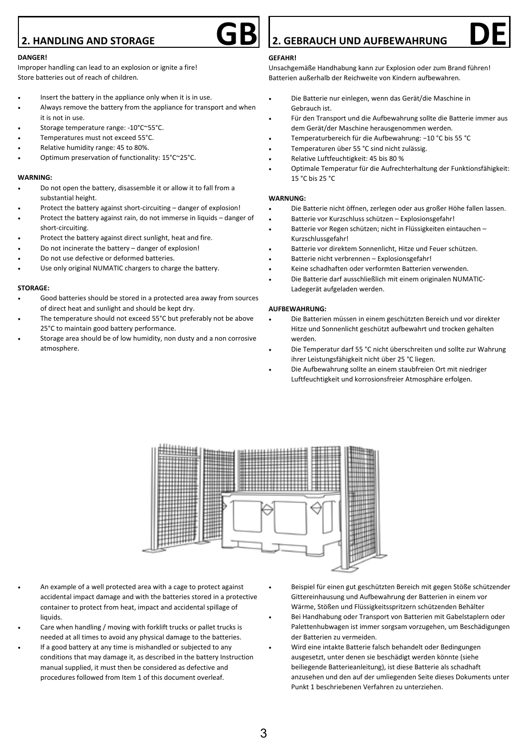### **2. HANDLING AND STORAGE**

#### **DANGER!**

Improper handling can lead to an explosion or ignite a fire! Store batteries out of reach of children.

- Insert the battery in the appliance only when it is in use.
- Always remove the battery from the appliance for transport and when it is not in use.
- Storage temperature range: -10°C~55°C.
- Temperatures must not exceed 55°C.
- Relative humidity range: 45 to 80%.
- Optimum preservation of functionality: 15°C~25°C.

#### **WARNING:**

- Do not open the battery, disassemble it or allow it to fall from a substantial height.
- Protect the battery against short-circuiting danger of explosion!
- Protect the battery against rain, do not immerse in liquids danger of short-circuiting.
- Protect the battery against direct sunlight, heat and fire.
- Do not incinerate the battery danger of explosion!
- Do not use defective or deformed batteries.
- Use only original NUMATIC chargers to charge the battery.

#### **STORAGE:**

- Good batteries should be stored in a protected area away from sources of direct heat and sunlight and should be kept dry.
- The temperature should not exceed 55°C but preferably not be above 25°C to maintain good battery performance.
- Storage area should be of low humidity, non dusty and a non corrosive atmosphere.

### **2. GEBRAUCH UND AUFBEWAHRUNG**

#### **GEFAHR!**

Unsachgemäße Handhabung kann zur Explosion oder zum Brand führen! Batterien außerhalb der Reichweite von Kindern aufbewahren.

- Die Batterie nur einlegen, wenn das Gerät/die Maschine in Gebrauch ist.
- Für den Transport und die Aufbewahrung sollte die Batterie immer aus dem Gerät/der Maschine herausgenommen werden.
- Temperaturbereich für die Aufbewahrung: −10 °C bis 55 °C
- Temperaturen über 55 °C sind nicht zulässig.
- Relative Luftfeuchtigkeit: 45 bis 80 %
- Optimale Temperatur für die Aufrechterhaltung der Funktionsfähigkeit: 15 °C bis 25 °C

#### **WARNUNG:**

- Die Batterie nicht öffnen, zerlegen oder aus großer Höhe fallen lassen.
- Batterie vor Kurzschluss schützen Explosionsgefahr!
- Batterie vor Regen schützen; nicht in Flüssigkeiten eintauchen Kurzschlussgefahr!
- Batterie vor direktem Sonnenlicht, Hitze und Feuer schützen.
- Batterie nicht verbrennen Explosionsgefahr!
- Keine schadhaften oder verformten Batterien verwenden.
- Die Batterie darf ausschließlich mit einem originalen NUMATIC-Ladegerät aufgeladen werden.

#### **AUFBEWAHRUNG:**

- Die Batterien müssen in einem geschützten Bereich und vor direkter Hitze und Sonnenlicht geschützt aufbewahrt und trocken gehalten werden.
- Die Temperatur darf 55 °C nicht überschreiten und sollte zur Wahrung ihrer Leistungsfähigkeit nicht über 25 °C liegen.
- Die Aufbewahrung sollte an einem staubfreien Ort mit niedriger Luftfeuchtigkeit und korrosionsfreier Atmosphäre erfolgen.



- An example of a well protected area with a cage to protect against accidental impact damage and with the batteries stored in a protective container to protect from heat, impact and accidental spillage of liquids.
- Care when handling / moving with forklift trucks or pallet trucks is needed at all times to avoid any physical damage to the batteries.
- If a good battery at any time is mishandled or subjected to any conditions that may damage it, as described in the battery Instruction manual supplied, it must then be considered as defective and procedures followed from Item 1 of this document overleaf.
- Beispiel für einen gut geschützten Bereich mit gegen Stöße schützender Gittereinhausung und Aufbewahrung der Batterien in einem vor Wärme, Stößen und Flüssigkeitsspritzern schützenden Behälter
- Bei Handhabung oder Transport von Batterien mit Gabelstaplern oder Palettenhubwagen ist immer sorgsam vorzugehen, um Beschädigungen der Batterien zu vermeiden.
- Wird eine intakte Batterie falsch behandelt oder Bedingungen ausgesetzt, unter denen sie beschädigt werden könnte (siehe beiliegende Batterieanleitung), ist diese Batterie als schadhaft anzusehen und den auf der umliegenden Seite dieses Dokuments unter Punkt 1 beschriebenen Verfahren zu unterziehen.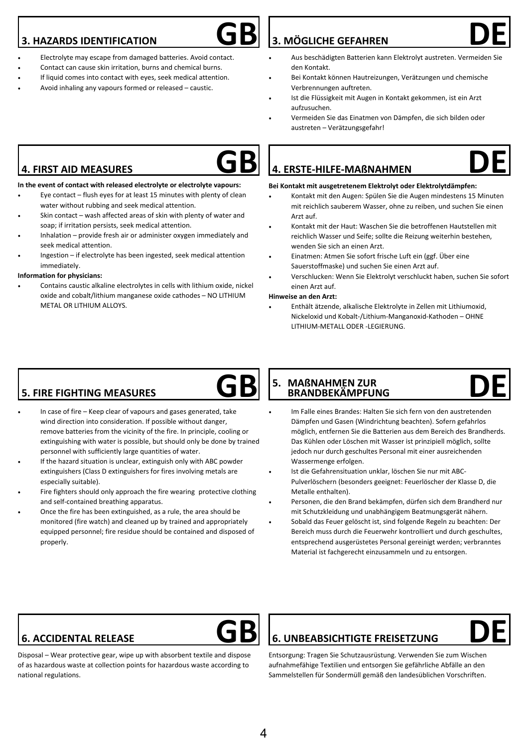### **3. HAZARDS IDENTIFICATION**

**4. FIRST AID MEASURES**

seek medical attention.

METAL OR LITHIUM ALLOYS.

immediately. **Information for physicians:**



• Contact can cause skin irritation, burns and chemical burns.

• Eye contact – flush eyes for at least 15 minutes with plenty of clean

Skin contact – wash affected areas of skin with plenty of water and

• Inhalation – provide fresh air or administer oxygen immediately and

• Ingestion – if electrolyte has been ingested, seek medical attention

• Contains caustic alkaline electrolytes in cells with lithium oxide, nickel oxide and cobalt/lithium manganese oxide cathodes – NO LITHIUM

- If liquid comes into contact with eyes, seek medical attention.
- Avoid inhaling any vapours formed or released caustic.

water without rubbing and seek medical attention.

soap; if irritation persists, seek medical attention.

# **GB DE 3. MÖGLICHE GEFAHREN**

- Aus beschädigten Batterien kann Elektrolyt austreten. Vermeiden Sie den Kontakt.
- Bei Kontakt können Hautreizungen, Verätzungen und chemische Verbrennungen auftreten.
- Ist die Flüssigkeit mit Augen in Kontakt gekommen, ist ein Arzt aufzusuchen.
- Vermeiden Sie das Einatmen von Dämpfen, die sich bilden oder austreten – Verätzungsgefahr!

# **GB DE 4. ERSTE-HILFE-MAßNAHMEN**

#### **Bei Kontakt mit ausgetretenem Elektrolyt oder Elektrolytdämpfen:**

- Kontakt mit den Augen: Spülen Sie die Augen mindestens 15 Minuten mit reichlich sauberem Wasser, ohne zu reiben, und suchen Sie einen Arzt auf.
- Kontakt mit der Haut: Waschen Sie die betroffenen Hautstellen mit reichlich Wasser und Seife; sollte die Reizung weiterhin bestehen, wenden Sie sich an einen Arzt.
- Einatmen: Atmen Sie sofort frische Luft ein (ggf. Über eine Sauerstoffmaske) und suchen Sie einen Arzt auf.
- Verschlucken: Wenn Sie Elektrolyt verschluckt haben, suchen Sie sofort einen Arzt auf.

#### **Hinweise an den Arzt:**

• Enthält ätzende, alkalische Elektrolyte in Zellen mit Lithiumoxid, Nickeloxid und Kobalt-/Lithium-Manganoxid-Kathoden – OHNE LITHIUM-METALL ODER -LEGIERUNG.

## **5. FIRE FIGHTING MEASURES**

- In case of fire Keep clear of vapours and gases generated, take wind direction into consideration. If possible without danger, remove batteries from the vicinity of the fire. In principle, cooling or extinguishing with water is possible, but should only be done by trained personnel with sufficiently large quantities of water.
- If the hazard situation is unclear, extinguish only with ABC powder extinguishers (Class D extinguishers for fires involving metals are especially suitable).
- Fire fighters should only approach the fire wearing protective clothing and self-contained breathing apparatus.
- Once the fire has been extinguished, as a rule, the area should be monitored (fire watch) and cleaned up by trained and appropriately equipped personnel; fire residue should be contained and disposed of properly.

#### **GB** S. MABNAHMEN ZUR<br>
BRANDBEKÄMPFUNG

DE  **5. MAßNAHMEN ZUR BRANDBEKÄMPFUNG**

- Im Falle eines Brandes: Halten Sie sich fern von den austretenden Dämpfen und Gasen (Windrichtung beachten). Sofern gefahrlos möglich, entfernen Sie die Batterien aus dem Bereich des Brandherds. Das Kühlen oder Löschen mit Wasser ist prinzipiell möglich, sollte jedoch nur durch geschultes Personal mit einer ausreichenden Wassermenge erfolgen.
- Ist die Gefahrensituation unklar, löschen Sie nur mit ABC-Pulverlöschern (besonders geeignet: Feuerlöscher der Klasse D, die Metalle enthalten).
- Personen, die den Brand bekämpfen, dürfen sich dem Brandherd nur mit Schutzkleidung und unabhängigem Beatmungsgerät nähern.
- Sobald das Feuer gelöscht ist, sind folgende Regeln zu beachten: Der Bereich muss durch die Feuerwehr kontrolliert und durch geschultes, entsprechend ausgerüstetes Personal gereinigt werden; verbranntes Material ist fachgerecht einzusammeln und zu entsorgen.

## **6. ACCIDENTAL RELEASE**



Disposal – Wear protective gear, wipe up with absorbent textile and dispose of as hazardous waste at collection points for hazardous waste according to national regulations.

# **GB DE 6. UNBEABSICHTIGTE FREISETZUNG**



Entsorgung: Tragen Sie Schutzausrüstung. Verwenden Sie zum Wischen aufnahmefähige Textilien und entsorgen Sie gefährliche Abfälle an den Sammelstellen für Sondermüll gemäß den landesüblichen Vorschriften.





### 4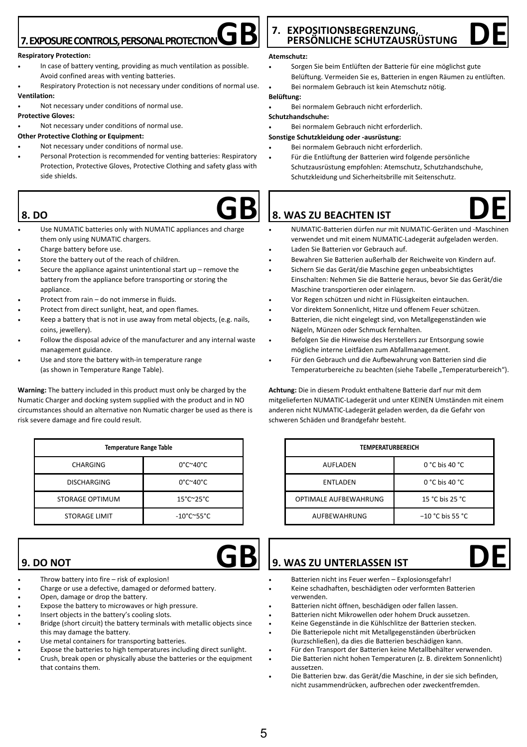## **7. EXPOSURE CONTROLS, PERSONAL PROTECTION**

#### **Respiratory Protection:**

- In case of battery venting, providing as much ventilation as possible. Avoid confined areas with venting batteries.
- Respiratory Protection is not necessary under conditions of normal use. **Ventilation:**
- Not necessary under conditions of normal use.

#### **Protective Gloves:**

Not necessary under conditions of normal use.

#### **Other Protective Clothing or Equipment:**

- Not necessary under conditions of normal use.
- Personal Protection is recommended for venting batteries: Respiratory Protection, Protective Gloves, Protective Clothing and safety glass with side shields.

## **8. DO**

- Use NUMATIC batteries only with NUMATIC appliances and charge them only using NUMATIC chargers.
- Charge battery before use.
- Store the battery out of the reach of children.
- Secure the appliance against unintentional start up remove the battery from the appliance before transporting or storing the appliance
- Protect from rain do not immerse in fluids.
- Protect from direct sunlight, heat, and open flames.
- Keep a battery that is not in use away from metal objects, (e.g. nails, coins, jewellery).
- Follow the disposal advice of the manufacturer and any internal waste management guidance.
- Use and store the battery with-in temperature range (as shown in Temperature Range Table).

**Warning:** The battery included in this product must only be charged by the Numatic Charger and docking system supplied with the product and in NO circumstances should an alternative non Numatic charger be used as there is risk severe damage and fire could result.

| <b>Temperature Range Table</b> |                                          |  |
|--------------------------------|------------------------------------------|--|
| CHARGING                       | $0^{\circ}$ C $^{\sim}$ 40 $^{\circ}$ C  |  |
| <b>DISCHARGING</b>             | $0^{\circ}$ C $^{\sim}$ 40 $^{\circ}$ C  |  |
| STORAGE OPTIMUM                | $15^{\circ}$ C $^{\sim}$ 25 $^{\circ}$ C |  |
| STORAGE LIMIT                  | $-10^{\circ}$ C $\sim$ 55°C              |  |

### **9. DO NOT**

- Throw battery into fire risk of explosion!
- Charge or use a defective, damaged or deformed battery.
- Open, damage or drop the battery.
- Expose the battery to microwaves or high pressure.
- Insert objects in the battery's cooling slots.
- Bridge (short circuit) the battery terminals with metallic objects since this may damage the battery.
- Use metal containers for transporting batteries.
- Expose the batteries to high temperatures including direct sunlight.
- Crush, break open or physically abuse the batteries or the equipment that contains them.

## **7. EXPOSITIONSBEGRENZUNG,**   $\overline{AB}$  7. EXPOSITIONSBEGRENZUNG, **DE**

#### **Atemschutz:**

- Sorgen Sie beim Entlüften der Batterie für eine möglichst gute Belüftung. Vermeiden Sie es, Batterien in engen Räumen zu entlüften.
- Bei normalem Gebrauch ist kein Atemschutz nötig.

#### **Belüftung:**

• Bei normalem Gebrauch nicht erforderlich.

#### **Schutzhandschuhe:**

• Bei normalem Gebrauch nicht erforderlich.

#### **Sonstige Schutzkleidung oder -ausrüstung:**

- Bei normalem Gebrauch nicht erforderlich.
- Für die Entlüftung der Batterien wird folgende persönliche Schutzausrüstung empfohlen: Atemschutz, Schutzhandschuhe, Schutzkleidung und Sicherheitsbrille mit Seitenschutz.

# **GB DE 8. WAS ZU BEACHTEN IST**

- 
- NUMATIC-Batterien dürfen nur mit NUMATIC-Geräten und -Maschinen verwendet und mit einem NUMATIC-Ladegerät aufgeladen werden. • Laden Sie Batterien vor Gebrauch auf.
- Bewahren Sie Batterien außerhalb der Reichweite von Kindern auf.
- Sichern Sie das Gerät/die Maschine gegen unbeabsichtigtes Einschalten: Nehmen Sie die Batterie heraus, bevor Sie das Gerät/die Maschine transportieren oder einlagern.
- Vor Regen schützen und nicht in Flüssigkeiten eintauchen.
- Vor direktem Sonnenlicht, Hitze und offenem Feuer schützen.
- Batterien, die nicht eingelegt sind, von Metallgegenständen wie Nägeln, Münzen oder Schmuck fernhalten.
- Befolgen Sie die Hinweise des Herstellers zur Entsorgung sowie mögliche interne Leitfäden zum Abfallmanagement.
- Für den Gebrauch und die Aufbewahrung von Batterien sind die Temperaturbereiche zu beachten (siehe Tabelle "Temperaturbereich").

**Achtung:** Die in diesem Produkt enthaltene Batterie darf nur mit dem mitgelieferten NUMATIC-Ladegerät und unter KEINEN Umständen mit einem anderen nicht NUMATIC-Ladegerät geladen werden, da die Gefahr von schweren Schäden und Brandgefahr besteht.

| TEMPERATURBEREICH     |                     |  |
|-----------------------|---------------------|--|
| AUFLADEN              | $0 °C$ bis 40 $°C$  |  |
| <b>ENTLADEN</b>       | $0 °C$ bis 40 $°C$  |  |
| OPTIMALE AUFBEWAHRUNG | 15 °C bis 25 °C     |  |
| AUFBEWAHRUNG          | $-10$ °C bis 55 °C. |  |

# **GB** 9. WAS ZU UNTERLASSEN IST **DE**

- Batterien nicht ins Feuer werfen Explosionsgefahr!
- Keine schadhaften, beschädigten oder verformten Batterien verwenden.
- Batterien nicht öffnen, beschädigen oder fallen lassen.
- Batterien nicht Mikrowellen oder hohem Druck aussetzen.
- Keine Gegenstände in die Kühlschlitze der Batterien stecken. • Die Batteriepole nicht mit Metallgegenständen überbrücken
- (kurzschließen), da dies die Batterien beschädigen kann. • Für den Transport der Batterien keine Metallbehälter verwenden.
- Die Batterien nicht hohen Temperaturen (z. B. direktem Sonnenlicht) aussetzen.
- Die Batterien bzw. das Gerät/die Maschine, in der sie sich befinden, nicht zusammendrücken, aufbrechen oder zweckentfremden.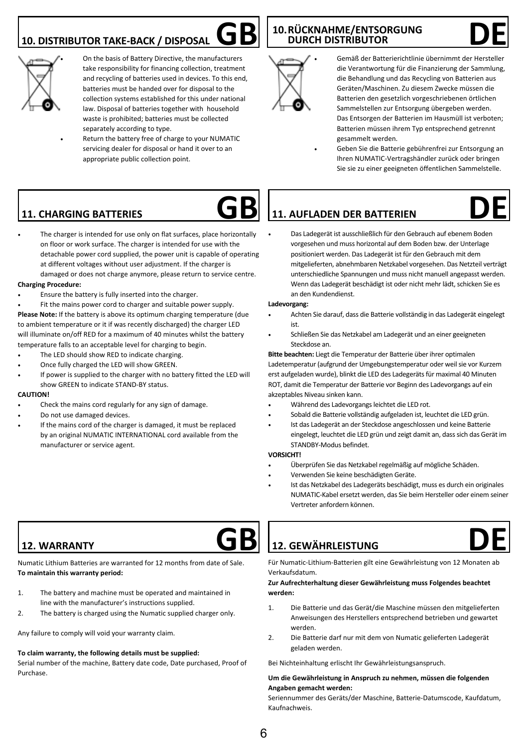## **10. DISTRIBUTOR TAKE-BACK / DISPOSAL**



• On the basis of Battery Directive, the manufacturers take responsibility for financing collection, treatment and recycling of batteries used in devices. To this end, batteries must be handed over for disposal to the collection systems established for this under national law. Disposal of batteries together with household waste is prohibited; batteries must be collected separately according to type.

Return the battery free of charge to your NUMATIC servicing dealer for disposal or hand it over to an appropriate public collection point.

## **GB DURCH DISTRIBUTOR DE DURCH DISTRIBUTOR**



• Gemäß der Batterierichtlinie übernimmt der Hersteller die Verantwortung für die Finanzierung der Sammlung, die Behandlung und das Recycling von Batterien aus Geräten/Maschinen. Zu diesem Zwecke müssen die Batterien den gesetzlich vorgeschriebenen örtlichen Sammelstellen zur Entsorgung übergeben werden. Das Entsorgen der Batterien im Hausmüll ist verboten; Batterien müssen ihrem Typ entsprechend getrennt gesammelt werden.

• Geben Sie die Batterie gebührenfrei zur Entsorgung an Ihren NUMATIC-Vertragshändler zurück oder bringen Sie sie zu einer geeigneten öffentlichen Sammelstelle.

## **11. CHARGING BATTERIES**



The charger is intended for use only on flat surfaces, place horizontally on floor or work surface. The charger is intended for use with the detachable power cord supplied, the power unit is capable of operating at different voltages without user adjustment. If the charger is damaged or does not charge anymore, please return to service centre.

#### **Charging Procedure:**

- Ensure the battery is fully inserted into the charger.
- Fit the mains power cord to charger and suitable power supply.

**Please Note:** If the battery is above its optimum charging temperature (due to ambient temperature or it if was recently discharged) the charger LED will illuminate on/off RED for a maximum of 40 minutes whilst the battery temperature falls to an acceptable level for charging to begin.

- The LED should show RED to indicate charging.
- Once fully charged the LED will show GREEN.
- If power is supplied to the charger with no battery fitted the LED will show GREEN to indicate STAND-BY status.

#### **CAUTION!**

- Check the mains cord regularly for any sign of damage.
- Do not use damaged devices.
- If the mains cord of the charger is damaged, it must be replaced by an original NUMATIC INTERNATIONAL cord available from the manufacturer or service agent.

# **GB DE 11. AUFLADEN DER BATTERIEN**

• Das Ladegerät ist ausschließlich für den Gebrauch auf ebenem Boden vorgesehen und muss horizontal auf dem Boden bzw. der Unterlage positioniert werden. Das Ladegerät ist für den Gebrauch mit dem mitgelieferten, abnehmbaren Netzkabel vorgesehen. Das Netzteil verträgt unterschiedliche Spannungen und muss nicht manuell angepasst werden. Wenn das Ladegerät beschädigt ist oder nicht mehr lädt, schicken Sie es an den Kundendienst.

#### **Ladevorgang:**

- Achten Sie darauf, dass die Batterie vollständig in das Ladegerät eingelegt ist.
- Schließen Sie das Netzkabel am Ladegerät und an einer geeigneten Steckdose an.

**Bitte beachten:** Liegt die Temperatur der Batterie über ihrer optimalen Ladetemperatur (aufgrund der Umgebungstemperatur oder weil sie vor Kurzem erst aufgeladen wurde), blinkt die LED des Ladegeräts für maximal 40 Minuten ROT, damit die Temperatur der Batterie vor Beginn des Ladevorgangs auf ein akzeptables Niveau sinken kann.

- Während des Ladevorgangs leichtet die LED rot.
- Sobald die Batterie vollständig aufgeladen ist, leuchtet die LED grün.
- Ist das Ladegerät an der Steckdose angeschlossen und keine Batterie eingelegt, leuchtet die LED grün und zeigt damit an, dass sich das Gerät im STANDBY-Modus befindet.

#### **VORSICHT!**

- Überprüfen Sie das Netzkabel regelmäßig auf mögliche Schäden.
- Verwenden Sie keine beschädigten Geräte.
- Ist das Netzkabel des Ladegeräts beschädigt, muss es durch ein originales NUMATIC-Kabel ersetzt werden, das Sie beim Hersteller oder einem seiner Vertreter anfordern können.

### **12. WARRANTY**

Numatic Lithium Batteries are warranted for 12 months from date of Sale. **To maintain this warranty period:**

- 1. The battery and machine must be operated and maintained in line with the manufacturer's instructions supplied.
- 2. The battery is charged using the Numatic supplied charger only.

Any failure to comply will void your warranty claim.

#### **To claim warranty, the following details must be supplied:**

Serial number of the machine, Battery date code, Date purchased, Proof of Purchase.

# **GB DE 12. GEWÄHRLEISTUNG**



Für Numatic-Lithium-Batterien gilt eine Gewährleistung von 12 Monaten ab Verkaufsdatum.

#### **Zur Aufrechterhaltung dieser Gewährleistung muss Folgendes beachtet werden:**

- 1. Die Batterie und das Gerät/die Maschine müssen den mitgelieferten Anweisungen des Herstellers entsprechend betrieben und gewartet werden.
- 2. Die Batterie darf nur mit dem von Numatic gelieferten Ladegerät geladen werden.

Bei Nichteinhaltung erlischt Ihr Gewährleistungsanspruch.

#### **Um die Gewährleistung in Anspruch zu nehmen, müssen die folgenden Angaben gemacht werden:**

Seriennummer des Geräts/der Maschine, Batterie-Datumscode, Kaufdatum, Kaufnachweis.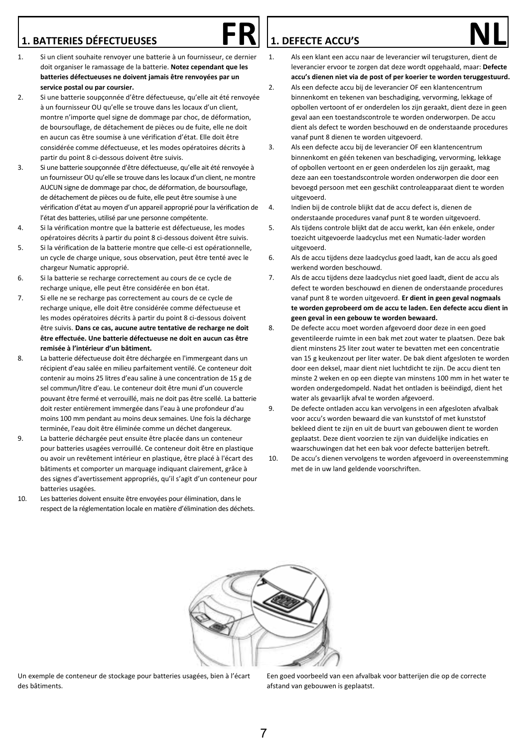- 1. BATTERIES DÉFECTUEUSES<br>1. Si un client souhaite renvoyer une batterie à un fournisseur, ce dernier 1. Als een klant een accu naar de leverancier wil terugsturen, dient de doit organiser le ramassage de la batterie. **Notez cependant que les batteries défectueuses ne doivent jamais être renvoyées par un service postal ou par coursier.**
- 2. Si une batterie soupçonnée d'être défectueuse, qu'elle ait été renvoyée à un fournisseur OU qu'elle se trouve dans les locaux d'un client, montre n'importe quel signe de dommage par choc, de déformation, de boursouflage, de détachement de pièces ou de fuite, elle ne doit en aucun cas être soumise à une vérification d'état. Elle doit être considérée comme défectueuse, et les modes opératoires décrits à partir du point 8 ci-dessous doivent être suivis.
- 3. Si une batterie soupçonnée d'être défectueuse, qu'elle ait été renvoyée à un fournisseur OU qu'elle se trouve dans les locaux d'un client, ne montre AUCUN signe de dommage par choc, de déformation, de boursouflage, de détachement de pièces ou de fuite, elle peut être soumise à une vérification d'état au moyen d'un appareil approprié pour la vérification de l'état des batteries, utilisé par une personne compétente.
- 4. Si la vérification montre que la batterie est défectueuse, les modes opératoires décrits à partir du point 8 ci-dessous doivent être suivis.
- 5. Si la vérification de la batterie montre que celle-ci est opérationnelle, un cycle de charge unique, sous observation, peut être tenté avec le chargeur Numatic approprié.
- 6. Si la batterie se recharge correctement au cours de ce cycle de recharge unique, elle peut être considérée en bon état.
- 7. Si elle ne se recharge pas correctement au cours de ce cycle de recharge unique, elle doit être considérée comme défectueuse et les modes opératoires décrits à partir du point 8 ci-dessous doivent être suivis. **Dans ce cas, aucune autre tentative de recharge ne doit être effectuée. Une batterie défectueuse ne doit en aucun cas être remisée à l'intérieur d'un bâtiment.**
- 8. La batterie défectueuse doit être déchargée en l'immergeant dans un récipient d'eau salée en milieu parfaitement ventilé. Ce conteneur doit contenir au moins 25 litres d'eau saline à une concentration de 15 g de sel commun/litre d'eau. Le conteneur doit être muni d'un couvercle pouvant être fermé et verrouillé, mais ne doit pas être scellé. La batterie doit rester entièrement immergée dans l'eau à une profondeur d'au moins 100 mm pendant au moins deux semaines. Une fois la décharge terminée, l'eau doit être éliminée comme un déchet dangereux.
- 9. La batterie déchargée peut ensuite être placée dans un conteneur pour batteries usagées verrouillé. Ce conteneur doit être en plastique ou avoir un revêtement intérieur en plastique, être placé à l'écart des bâtiments et comporter un marquage indiquant clairement, grâce à des signes d'avertissement appropriés, qu'il s'agit d'un conteneur pour batteries usagées.
- 10. Les batteries doivent ensuite être envoyées pour élimination, dans le respect de la réglementation locale en matière d'élimination des déchets.

### **1. DEFECTE ACCU'S**

- 1. Als een klant een accu naar de leverancier wil terugsturen, dient de leverancier ervoor te zorgen dat deze wordt opgehaald, maar: **Defecte accu's dienen niet via de post of per koerier te worden teruggestuurd.**
- 2. Als een defecte accu bij de leverancier OF een klantencentrum binnenkomt en tekenen van beschadiging, vervorming, lekkage of opbollen vertoont of er onderdelen los zijn geraakt, dient deze in geen geval aan een toestandscontrole te worden onderworpen. De accu dient als defect te worden beschouwd en de onderstaande procedures vanaf punt 8 dienen te worden uitgevoerd.
- 3. Als een defecte accu bij de leverancier OF een klantencentrum binnenkomt en géén tekenen van beschadiging, vervorming, lekkage of opbollen vertoont en er geen onderdelen los zijn geraakt, mag deze aan een toestandscontrole worden onderworpen die door een bevoegd persoon met een geschikt controleapparaat dient te worden uitgevoerd.
- 4. Indien bij de controle blijkt dat de accu defect is, dienen de onderstaande procedures vanaf punt 8 te worden uitgevoerd.
- 5. Als tijdens controle blijkt dat de accu werkt, kan één enkele, onder toezicht uitgevoerde laadcyclus met een Numatic-lader worden uitgevoerd.
- 6. Als de accu tijdens deze laadcyclus goed laadt, kan de accu als goed werkend worden beschouwd.
- 7. Als de accu tijdens deze laadcyclus niet goed laadt, dient de accu als defect te worden beschouwd en dienen de onderstaande procedures vanaf punt 8 te worden uitgevoerd. **Er dient in geen geval nogmaals te worden geprobeerd om de accu te laden. Een defecte accu dient in geen geval in een gebouw te worden bewaard.**
- 8. De defecte accu moet worden afgevoerd door deze in een goed geventileerde ruimte in een bak met zout water te plaatsen. Deze bak dient minstens 25 liter zout water te bevatten met een concentratie van 15 g keukenzout per liter water. De bak dient afgesloten te worden door een deksel, maar dient niet luchtdicht te zijn. De accu dient ten minste 2 weken en op een diepte van minstens 100 mm in het water te worden ondergedompeld. Nadat het ontladen is beëindigd, dient het water als gevaarlijk afval te worden afgevoerd.
- 9. De defecte ontladen accu kan vervolgens in een afgesloten afvalbak voor accu's worden bewaard die van kunststof of met kunststof bekleed dient te zijn en uit de buurt van gebouwen dient te worden geplaatst. Deze dient voorzien te zijn van duidelijke indicaties en waarschuwingen dat het een bak voor defecte batterijen betreft.
- 10. De accu's dienen vervolgens te worden afgevoerd in overeenstemming met de in uw land geldende voorschriften.



Un exemple de conteneur de stockage pour batteries usagées, bien à l'écart des bâtiments.

Een goed voorbeeld van een afvalbak voor batterijen die op de correcte afstand van gebouwen is geplaatst.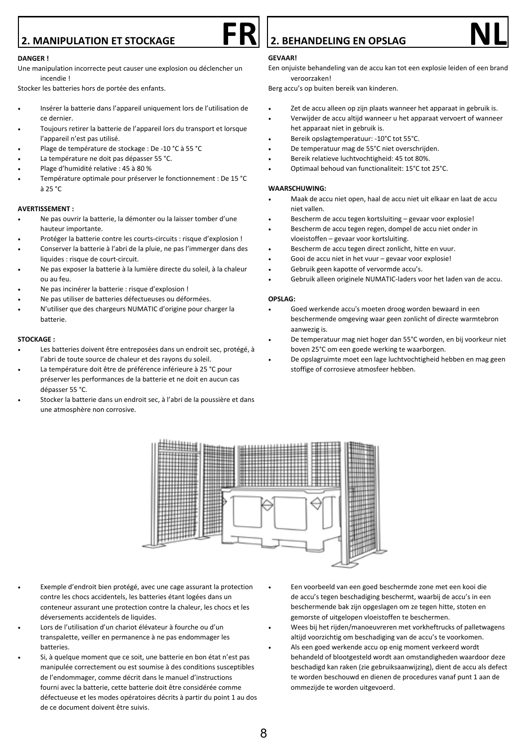# **2. MANIPULATION ET STOCKAGE FR 2. BEHANDELING EN OPSLAG NL**

#### **DANGER !**

Une manipulation incorrecte peut causer une explosion ou déclencher un incendie !

Stocker les batteries hors de portée des enfants.

- Insérer la batterie dans l'appareil uniquement lors de l'utilisation de ce dernier.
- Toujours retirer la batterie de l'appareil lors du transport et lorsque l'appareil n'est pas utilisé.
- Plage de température de stockage : De -10 °C à 55 °C
- La température ne doit pas dépasser 55 °C.
- Plage d'humidité relative : 45 à 80 %
- Température optimale pour préserver le fonctionnement : De 15 °C à 25 °C

#### **AVERTISSEMENT :**

- Ne pas ouvrir la batterie, la démonter ou la laisser tomber d'une hauteur importante.
- Protéger la batterie contre les courts-circuits : risque d'explosion !
- Conserver la batterie à l'abri de la pluie, ne pas l'immerger dans des liquides : risque de court-circuit.
- Ne pas exposer la batterie à la lumière directe du soleil, à la chaleur ou au feu.
- Ne pas incinérer la batterie : risque d'explosion !
- Ne pas utiliser de batteries défectueuses ou déformées.
- N'utiliser que des chargeurs NUMATIC d'origine pour charger la batterie.

#### **STOCKAGE :**

- Les batteries doivent être entreposées dans un endroit sec, protégé, à l'abri de toute source de chaleur et des rayons du soleil.
- La température doit être de préférence inférieure à 25 °C pour préserver les performances de la batterie et ne doit en aucun cas dépasser 55 °C.
- Stocker la batterie dans un endroit sec, à l'abri de la poussière et dans une atmosphère non corrosive.

#### **GEVAAR!**

Een onjuiste behandeling van de accu kan tot een explosie leiden of een brand veroorzaken!

Berg accu's op buiten bereik van kinderen.

- Zet de accu alleen op zijn plaats wanneer het apparaat in gebruik is.
- Verwijder de accu altijd wanneer u het apparaat vervoert of wanneer het apparaat niet in gebruik is.
- Bereik opslagtemperatuur: -10°C tot 55°C.
- De temperatuur mag de 55°C niet overschrijden.
- Bereik relatieve luchtvochtigheid: 45 tot 80%.
- Optimaal behoud van functionaliteit: 15°C tot 25°C.

#### **WAARSCHUWING:**

- Maak de accu niet open, haal de accu niet uit elkaar en laat de accu niet vallen.
- Bescherm de accu tegen kortsluiting gevaar voor explosie!
- Bescherm de accu tegen regen, dompel de accu niet onder in vloeistoffen – gevaar voor kortsluiting.
- Bescherm de accu tegen direct zonlicht, hitte en vuur.
- Gooi de accu niet in het vuur gevaar voor explosie!
- Gebruik geen kapotte of vervormde accu's.
- Gebruik alleen originele NUMATIC-laders voor het laden van de accu.

#### **OPSLAG:**

- Goed werkende accu's moeten droog worden bewaard in een beschermende omgeving waar geen zonlicht of directe warmtebron aanwezig is.
- De temperatuur mag niet hoger dan 55°C worden, en bij voorkeur niet boven 25°C om een goede werking te waarborgen.
- De opslagruimte moet een lage luchtvochtigheid hebben en mag geen stoffige of corrosieve atmosfeer hebben.



- Exemple d'endroit bien protégé, avec une cage assurant la protection contre les chocs accidentels, les batteries étant logées dans un conteneur assurant une protection contre la chaleur, les chocs et les déversements accidentels de liquides.
- Lors de l'utilisation d'un chariot élévateur à fourche ou d'un transpalette, veiller en permanence à ne pas endommager les batteries.
- Si, à quelque moment que ce soit, une batterie en bon état n'est pas manipulée correctement ou est soumise à des conditions susceptibles de l'endommager, comme décrit dans le manuel d'instructions fourni avec la batterie, cette batterie doit être considérée comme défectueuse et les modes opératoires décrits à partir du point 1 au dos de ce document doivent être suivis.
- Een voorbeeld van een goed beschermde zone met een kooi die de accu's tegen beschadiging beschermt, waarbij de accu's in een beschermende bak zijn opgeslagen om ze tegen hitte, stoten en gemorste of uitgelopen vloeistoffen te beschermen.
- Wees bij het rijden/manoeuvreren met vorkheftrucks of palletwagens altijd voorzichtig om beschadiging van de accu's te voorkomen.
- Als een goed werkende accu op enig moment verkeerd wordt behandeld of blootgesteld wordt aan omstandigheden waardoor deze beschadigd kan raken (zie gebruiksaanwijzing), dient de accu als defect te worden beschouwd en dienen de procedures vanaf punt 1 aan de ommezijde te worden uitgevoerd.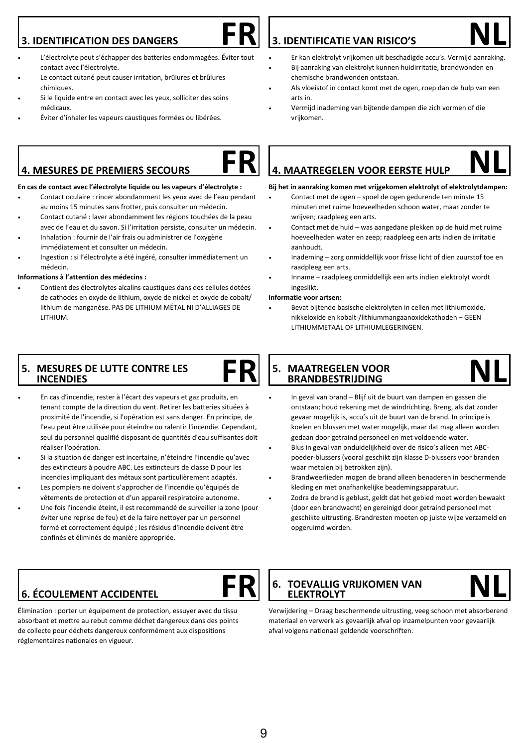### **3. IDENTIFICATION DES DANGERS**



- L'électrolyte peut s'échapper des batteries endommagées. Éviter tout contact avec l'électrolyte.
- Le contact cutané peut causer irritation, brûlures et brûlures chimiques.
- Si le liquide entre en contact avec les yeux, solliciter des soins médicaux.
- Éviter d'inhaler les vapeurs caustiques formées ou libérées.

### **4. MESURES DE PREMIERS SECOURS**

#### **En cas de contact avec l'électrolyte liquide ou les vapeurs d'électrolyte :**

- Contact oculaire : rincer abondamment les yeux avec de l'eau pendant au moins 15 minutes sans frotter, puis consulter un médecin.
- Contact cutané : laver abondamment les régions touchées de la peau avec de l'eau et du savon. Si l'irritation persiste, consulter un médecin.
- Inhalation : fournir de l'air frais ou administrer de l'oxygène immédiatement et consulter un médecin.
- Ingestion : si l'électrolyte a été ingéré, consulter immédiatement un médecin.

#### **Informations à l'attention des médecins :**

• Contient des électrolytes alcalins caustiques dans des cellules dotées de cathodes en oxyde de lithium, oxyde de nickel et oxyde de cobalt/ lithium de manganèse. PAS DE LITHIUM MÉTAL NI D'ALLIAGES DE LITHIUM.

### **5. MESURES DE LUTTE CONTRE LES INCENDIES**

- En cas d'incendie, rester à l'écart des vapeurs et gaz produits, en tenant compte de la direction du vent. Retirer les batteries situées à proximité de l'incendie, si l'opération est sans danger. En principe, de l'eau peut être utilisée pour éteindre ou ralentir l'incendie. Cependant, seul du personnel qualifié disposant de quantités d'eau suffisantes doit réaliser l'opération.
- Si la situation de danger est incertaine, n'éteindre l'incendie qu'avec des extincteurs à poudre ABC. Les extincteurs de classe D pour les incendies impliquant des métaux sont particulièrement adaptés.
- Les pompiers ne doivent s'approcher de l'incendie qu'équipés de vêtements de protection et d'un appareil respiratoire autonome.
- Une fois l'incendie éteint, il est recommandé de surveiller la zone (pour éviter une reprise de feu) et de la faire nettoyer par un personnel formé et correctement équipé ; les résidus d'incendie doivent être confinés et éliminés de manière appropriée.

# **FR NL 3. IDENTIFICATIE VAN RISICO'S**

- Er kan elektrolyt vrijkomen uit beschadigde accu's. Vermijd aanraking. • Bij aanraking van elektrolyt kunnen huidirritatie, brandwonden en
- chemische brandwonden ontstaan. • Als vloeistof in contact komt met de ogen, roep dan de hulp van een
- arts in.
- Vermijd inademing van bijtende dampen die zich vormen of die vrijkomen.

# **FR NL 4. MAATREGELEN VOOR EERSTE HULP**

#### **Bij het in aanraking komen met vrijgekomen elektrolyt of elektrolytdampen:**

- Contact met de ogen spoel de ogen gedurende ten minste 15 minuten met ruime hoeveelheden schoon water, maar zonder te wrijven; raadpleeg een arts.
- Contact met de huid was aangedane plekken op de huid met ruime hoeveelheden water en zeep; raadpleeg een arts indien de irritatie aanhoudt.
- Inademing zorg onmiddellijk voor frisse licht of dien zuurstof toe en raadpleeg een arts.
- Inname raadpleeg onmiddellijk een arts indien elektrolyt wordt ingeslikt.

#### **Informatie voor artsen:**

• Bevat bijtende basische elektrolyten in cellen met lithiumoxide, nikkeloxide en kobalt-/lithiummangaanoxidekathoden – GEEN LITHIUMMETAAL OF LITHIUMLEGERINGEN.

#### FR S. MAATREGELEN VOOR NL  **5. MAATREGELEN VOOR BRANDBESTRIJDING**

- In geval van brand Blijf uit de buurt van dampen en gassen die ontstaan; houd rekening met de windrichting. Breng, als dat zonder gevaar mogelijk is, accu's uit de buurt van de brand. In principe is koelen en blussen met water mogelijk, maar dat mag alleen worden gedaan door getraind personeel en met voldoende water.
- Blus in geval van onduidelijkheid over de risico's alleen met ABCpoeder-blussers (vooral geschikt zijn klasse D-blussers voor branden waar metalen bij betrokken zijn).
- Brandweerlieden mogen de brand alleen benaderen in beschermende kleding en met onafhankelijke beademingsapparatuur.
- Zodra de brand is geblust, geldt dat het gebied moet worden bewaakt (door een brandwacht) en gereinigd door getraind personeel met geschikte uitrusting. Brandresten moeten op juiste wijze verzameld en opgeruimd worden.

## **6. ÉCOULEMENT ACCIDENTEL**

Élimination : porter un équipement de protection, essuyer avec du tissu absorbant et mettre au rebut comme déchet dangereux dans des points de collecte pour déchets dangereux conformément aux dispositions réglementaires nationales en vigueur.

**FR** 6. TOEVALLIG VRIJKOMEN VAN **NL ELEKTROLYT**

Verwijdering – Draag beschermende uitrusting, veeg schoon met absorberend materiaal en verwerk als gevaarlijk afval op inzamelpunten voor gevaarlijk afval volgens nationaal geldende voorschriften.

### 9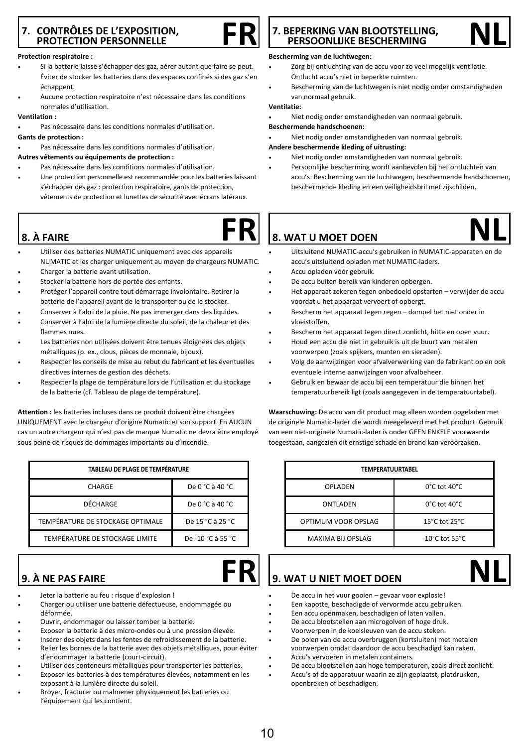### **7. CONTRÔLES DE L'EXPOSITION, PROTECTION PERSONNELLE**

#### **Protection respiratoire :**

- Si la batterie laisse s'échapper des gaz, aérer autant que faire se peut. Éviter de stocker les batteries dans des espaces confinés si des gaz s'en échappent.
- Aucune protection respiratoire n'est nécessaire dans les conditions normales d'utilisation.

#### **Ventilation :**

- Pas nécessaire dans les conditions normales d'utilisation.
- **Gants de protection :**
- Pas nécessaire dans les conditions normales d'utilisation.

#### **Autres vêtements ou équipements de protection :**

- Pas nécessaire dans les conditions normales d'utilisation.
- Une protection personnelle est recommandée pour les batteries laissant s'échapper des gaz : protection respiratoire, gants de protection, vêtements de protection et lunettes de sécurité avec écrans latéraux.

### **8. À FAIRE**

- 
- Utiliser des batteries NUMATIC uniquement avec des appareils NUMATIC et les charger uniquement au moyen de chargeurs NUMATIC.
- Charger la batterie avant utilisation.
- Stocker la batterie hors de portée des enfants.
- Protéger l'appareil contre tout démarrage involontaire. Retirer la batterie de l'appareil avant de le transporter ou de le stocker.
- Conserver à l'abri de la pluie. Ne pas immerger dans des liquides.
- Conserver à l'abri de la lumière directe du soleil, de la chaleur et des flammes nues.
- Les batteries non utilisées doivent être tenues éloignées des objets métalliques (p. ex., clous, pièces de monnaie, bijoux).
- Respecter les conseils de mise au rebut du fabricant et les éventuelles directives internes de gestion des déchets.
- Respecter la plage de température lors de l'utilisation et du stockage de la batterie (cf. Tableau de plage de température).

**Attention :** les batteries incluses dans ce produit doivent être chargées UNIQUEMENT avec le chargeur d'origine Numatic et son support. En AUCUN cas un autre chargeur qui n'est pas de marque Numatic ne devra être employé sous peine de risques de dommages importants ou d'incendie.

| TABLEAU DE PLAGE DE TEMPÉRATURE  |                   |  |
|----------------------------------|-------------------|--|
| <b>CHARGE</b>                    | De 0 °C à 40 °C   |  |
| <b>DÉCHARGE</b>                  | De 0 °C à 40 °C   |  |
| TEMPÉRATURE DE STOCKAGE OPTIMALE | De 15 °C à 25 °C  |  |
| TEMPÉRATURE DE STOCKAGE LIMITE   | De -10 °C à 55 °C |  |

## **9. À NE PAS FAIRE**

- Jeter la batterie au feu : risque d'explosion !
- Charger ou utiliser une batterie défectueuse, endommagée ou déformée.
- Ouvrir, endommager ou laisser tomber la batterie.
- Exposer la batterie à des micro-ondes ou à une pression élevée.
- Insérer des objets dans les fentes de refroidissement de la batterie.
- Relier les bornes de la batterie avec des objets métalliques, pour éviter d'endommager la batterie (court-circuit).
- Utiliser des conteneurs métalliques pour transporter les batteries.
- Exposer les batteries à des températures élevées, notamment en les exposant à la lumière directe du soleil.
- Broyer, fracturer ou malmener physiquement les batteries ou l'équipement qui les contient.

## **FR** 7. BEPERKING VAN BLOOTSTELLING, NL **PERSOONLIJKE BESCHERMING**

#### **Bescherming van de luchtwegen:**

- Zorg bij ontluchting van de accu voor zo veel mogelijk ventilatie. Ontlucht accu's niet in beperkte ruimten.
- Bescherming van de luchtwegen is niet nodig onder omstandigheden van normaal gebruik.

#### **Ventilatie:**

• Niet nodig onder omstandigheden van normaal gebruik.

#### **Beschermende handschoenen:**

• Niet nodig onder omstandigheden van normaal gebruik.

#### **Andere beschermende kleding of uitrusting:**

- Niet nodig onder omstandigheden van normaal gebruik.
- Persoonlijke bescherming wordt aanbevolen bij het ontluchten van accu's: Bescherming van de luchtwegen, beschermende handschoenen, beschermende kleding en een veiligheidsbril met zijschilden.

- 
- Uitsluitend NUMATIC-accu's gebruiken in NUMATIC-apparaten en de accu's uitsluitend opladen met NUMATIC-laders.
- Accu opladen vóór gebruik.
- De accu buiten bereik van kinderen opbergen.
- Het apparaat zekeren tegen onbedoeld opstarten verwijder de accu voordat u het apparaat vervoert of opbergt.
- Bescherm het apparaat tegen regen dompel het niet onder in vloeistoffen.
- Bescherm het annaraat tegen direct zonlicht, hitte en open vuur.
- Houd een accu die niet in gebruik is uit de buurt van metalen voorwerpen (zoals spijkers, munten en sieraden).
- Volg de aanwijzingen voor afvalverwerking van de fabrikant op en ook eventuele interne aanwijzingen voor afvalbeheer.
- Gebruik en bewaar de accu bij een temperatuur die binnen het temperatuurbereik ligt (zoals aangegeven in de temperatuurtabel).

**Waarschuwing:** De accu van dit product mag alleen worden opgeladen met de originele Numatic-lader die wordt meegeleverd met het product. Gebruik van een niet-originele Numatic-lader is onder GEEN ENKELE voorwaarde toegestaan, aangezien dit ernstige schade en brand kan veroorzaken.

| TEMPERATUURTABEL    |                                     |  |
|---------------------|-------------------------------------|--|
| OPLADEN             | $0^{\circ}$ C tot 40 $^{\circ}$ C.  |  |
| <b>ONTLADEN</b>     | $0^{\circ}$ C tot 40 $^{\circ}$ C.  |  |
| OPTIMUM VOOR OPSLAG | 15°C tot 25°C.                      |  |
| MAXIMA BIJ OPSLAG   | $-10^{\circ}$ C tot 55 $^{\circ}$ C |  |

# **FR**  $\frac{1}{9}$ . WAT U NIET MOET DOEN **NL**

- De accu in het vuur gooien gevaar voor explosie!
- Een kapotte, beschadigde of vervormde accu gebruiken.
- Een accu openmaken, beschadigen of laten vallen.
- De accu blootstellen aan microgolven of hoge druk.
- Voorwerpen in de koelsleuven van de accu steken.
- De polen van de accu overbruggen (kortsluiten) met metalen voorwerpen omdat daardoor de accu beschadigd kan raken. • Accu's vervoeren in metalen containers.
- De accu blootstellen aan hoge temperaturen, zoals direct zonlicht.
- Accu's of de apparatuur waarin ze zijn geplaatst, platdrukken, openbreken of beschadigen.







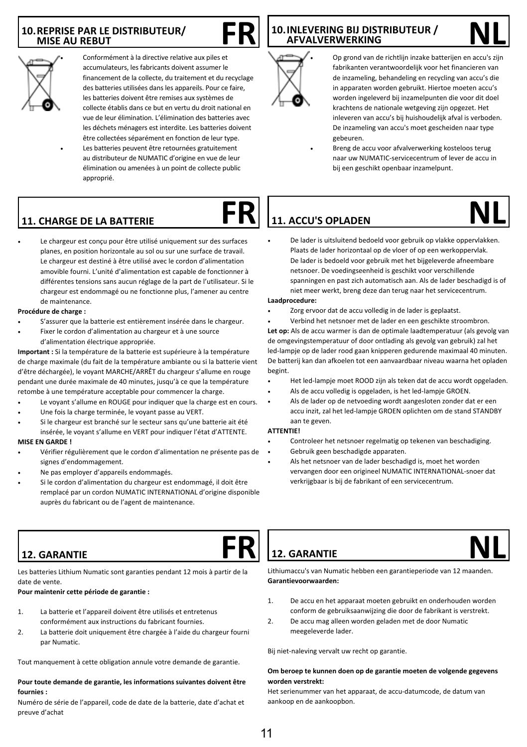#### **10.REPRISE PAR LE DISTRIBUTEUR/ MISE AU REBUT**



• Conformément à la directive relative aux piles et accumulateurs, les fabricants doivent assumer le financement de la collecte, du traitement et du recyclage des batteries utilisées dans les appareils. Pour ce faire, les batteries doivent être remises aux systèmes de collecte établis dans ce but en vertu du droit national en vue de leur élimination. L'élimination des batteries avec les déchets ménagers est interdite. Les batteries doivent être collectées séparément en fonction de leur type. Les batteries peuvent être retournées gratuitement au distributeur de NUMATIC d'origine en vue de leur élimination ou amenées à un point de collecte public approprié.

## **FR** 10.INLEVERING BIJ DISTRIBUTEUR / NL **AFVALVERWERKING**



• Op grond van de richtlijn inzake batterijen en accu's zijn fabrikanten verantwoordelijk voor het financieren van de inzameling, behandeling en recycling van accu's die in apparaten worden gebruikt. Hiertoe moeten accu's worden ingeleverd bij inzamelpunten die voor dit doel krachtens de nationale wetgeving zijn opgezet. Het inleveren van accu's bij huishoudelijk afval is verboden. De inzameling van accu's moet gescheiden naar type gebeuren.

• Breng de accu voor afvalverwerking kosteloos terug naar uw NUMATIC-servicecentrum of lever de accu in bij een geschikt openbaar inzamelpunt.

## **11. CHARGE DE LA BATTERIE**

Le chargeur est conçu pour être utilisé uniquement sur des surfaces planes, en position horizontale au sol ou sur une surface de travail. Le chargeur est destiné à être utilisé avec le cordon d'alimentation amovible fourni. L'unité d'alimentation est capable de fonctionner à différentes tensions sans aucun réglage de la part de l'utilisateur. Si le chargeur est endommagé ou ne fonctionne plus, l'amener au centre de maintenance.

#### **Procédure de charge :**

- S'assurer que la batterie est entièrement insérée dans le chargeur.
- Fixer le cordon d'alimentation au chargeur et à une source d'alimentation électrique appropriée.

**Important :** Si la température de la batterie est supérieure à la température de charge maximale (du fait de la température ambiante ou si la batterie vient d'être déchargée), le voyant MARCHE/ARRÊT du chargeur s'allume en rouge pendant une durée maximale de 40 minutes, jusqu'à ce que la température retombe à une température acceptable pour commencer la charge.

- Le voyant s'allume en ROUGE pour indiquer que la charge est en cours.
- Une fois la charge terminée, le voyant passe au VERT.
- Si le chargeur est branché sur le secteur sans qu'une batterie ait été insérée, le voyant s'allume en VERT pour indiquer l'état d'ATTENTE.

#### **MISE EN GARDE !**

- Vérifier régulièrement que le cordon d'alimentation ne présente pas de signes d'endommagement.
- Ne pas employer d'appareils endommagés.
- Si le cordon d'alimentation du chargeur est endommagé, il doit être remplacé par un cordon NUMATIC INTERNATIONAL d'origine disponible auprès du fabricant ou de l'agent de maintenance.

# **FR NL 11. ACCU'S OPLADEN**



#### **Laadprocedure:**

Zorg ervoor dat de accu volledig in de lader is geplaatst.

• Verbind het netsnoer met de lader en een geschikte stroombron. **Let op:** Als de accu warmer is dan de optimale laadtemperatuur (als gevolg van de omgevingstemperatuur of door ontlading als gevolg van gebruik) zal het led-lampje op de lader rood gaan knipperen gedurende maximaal 40 minuten. De batterij kan dan afkoelen tot een aanvaardbaar niveau waarna het opladen begint.

- Het led-lampje moet ROOD zijn als teken dat de accu wordt opgeladen.
- Als de accu volledig is opgeladen, is het led-lampje GROEN.
- Als de lader op de netvoeding wordt aangesloten zonder dat er een accu inzit, zal het led-lampje GROEN oplichten om de stand STANDBY aan te geven.

#### **ATTENTIE!**

- Controleer het netsnoer regelmatig op tekenen van beschadiging.
- Gebruik geen beschadigde apparaten.
- Als het netsnoer van de lader beschadigd is, moet het worden vervangen door een origineel NUMATIC INTERNATIONAL-snoer dat verkrijgbaar is bij de fabrikant of een servicecentrum.

### **12. GARANTIE**

Les batteries Lithium Numatic sont garanties pendant 12 mois à partir de la date de vente.

#### **Pour maintenir cette période de garantie :**

- 1. La batterie et l'appareil doivent être utilisés et entretenus conformément aux instructions du fabricant fournies.
- 2. La batterie doit uniquement être chargée à l'aide du chargeur fourni par Numatic.

Tout manquement à cette obligation annule votre demande de garantie.

#### **Pour toute demande de garantie, les informations suivantes doivent être fournies :**

Numéro de série de l'appareil, code de date de la batterie, date d'achat et preuve d'achat

## **12. GARANTIE**



Lithiumaccu's van Numatic hebben een garantieperiode van 12 maanden. **Garantievoorwaarden:**

- 1. De accu en het apparaat moeten gebruikt en onderhouden worden conform de gebruiksaanwijzing die door de fabrikant is verstrekt.
- 2. De accu mag alleen worden geladen met de door Numatic meegeleverde lader.

Bij niet-naleving vervalt uw recht op garantie.

#### **Om beroep te kunnen doen op de garantie moeten de volgende gegevens worden verstrekt:**

Het serienummer van het apparaat, de accu-datumcode, de datum van aankoop en de aankoopbon.